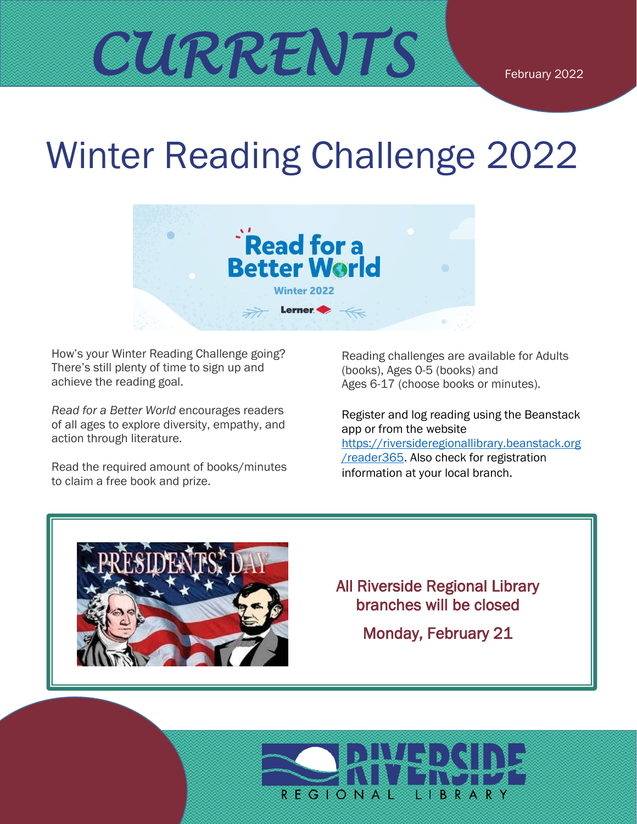# Winter Reading Challenge 2022



How's your Winter Reading Challenge going? There's still plenty of time to sign up and achieve the reading goal.

*Read for a Better World* encourages readers of all ages to explore diversity, empathy, and action through literature.

Read the required amount of books/minutes to claim a free book and prize.

Reading challenges are available for Adults (books), Ages 0-5 (books) and Ages 6-17 (choose books or minutes).

Register and log reading using the Beanstack app or from the website [https://riversideregionallibrary.beanstack.org](https://riversideregionallibrary.beanstack.org/reader365) [/reader365.](https://riversideregionallibrary.beanstack.org/reader365) Also check for registration information at your local branch.



#### All Riverside Regional Library branches will be closed

Monday, February 21

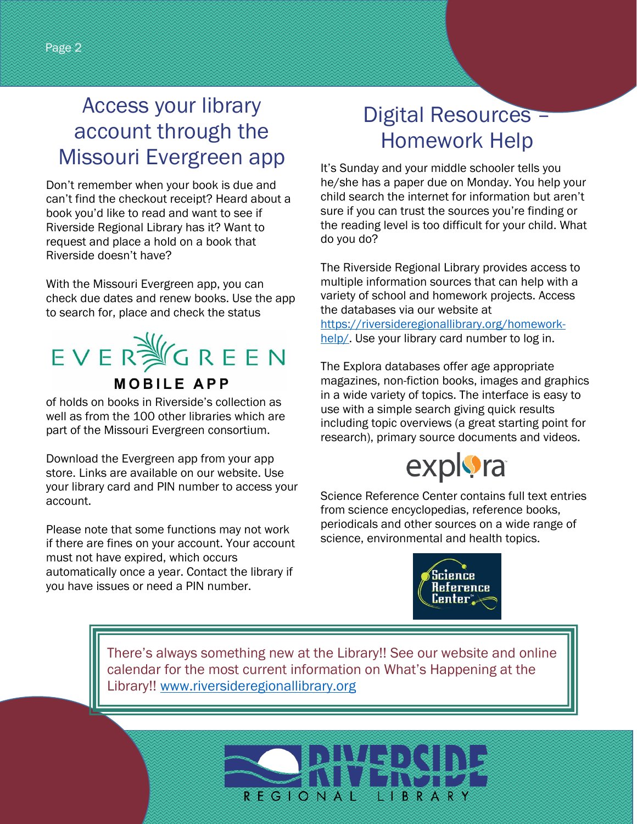#### Access your library account through the Missouri Evergreen app

Don't remember when your book is due and can't find the checkout receipt? Heard about a book you'd like to read and want to see if Riverside Regional Library has it? Want to request and place a hold on a book that Riverside doesn't have?

With the Missouri Evergreen app, you can check due dates and renew books. Use the app to search for, place and check the status

## EVERWGREEN **MOBILE APP**

of holds on books in Riverside's collection as well as from the 100 other libraries which are part of the Missouri Evergreen consortium.

Download the Evergreen app from your app store. Links are available on our website. Use your library card and PIN number to access your account.

Please note that some functions may not work if there are fines on your account. Your account must not have expired, which occurs automatically once a year. Contact the library if you have issues or need a PIN number.

#### Digital Resources – Homework Help

It's Sunday and your middle schooler tells you he/she has a paper due on Monday. You help your child search the internet for information but aren't sure if you can trust the sources you're finding or the reading level is too difficult for your child. What do you do?

The Riverside Regional Library provides access to multiple information sources that can help with a variety of school and homework projects. Access the databases via our website at [https://riversideregionallibrary.org/homework](https://riversideregionallibrary.org/homework-help/)[help/.](https://riversideregionallibrary.org/homework-help/) Use your library card number to log in.

The Explora databases offer age appropriate magazines, non-fiction books, images and graphics in a wide variety of topics. The interface is easy to use with a simple search giving quick results including topic overviews (a great starting point for research), primary source documents and videos.

## explora

Science Reference Center contains full text entries from science encyclopedias, reference books, periodicals and other sources on a wide range of science, environmental and health topics.



There's always something new at the Library!! See our website and online calendar for the most current information on What's Happening at the Library!! [www.riversideregionallibrary.org](http://www.riversideregionallibrary.org/)

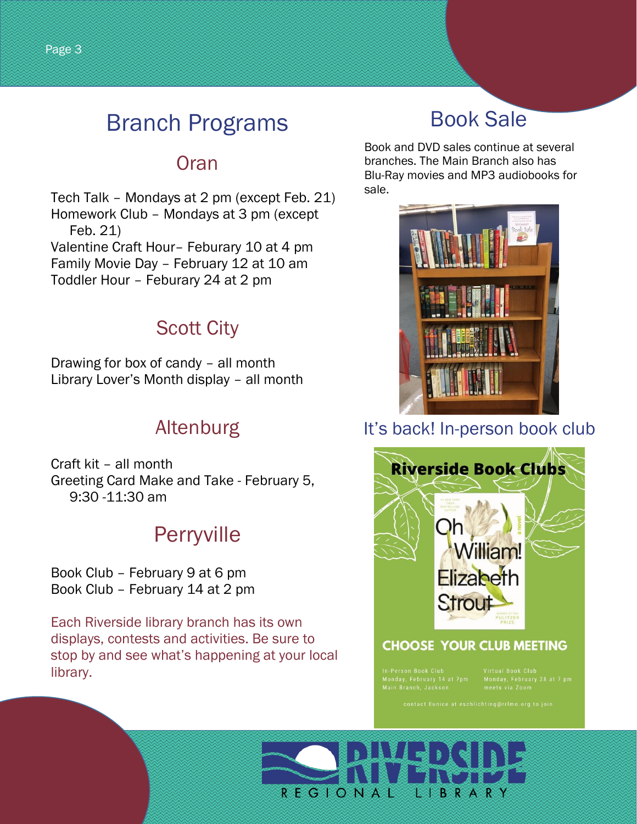## Branch Programs

#### **Oran**

Tech Talk – Mondays at 2 pm (except Feb. 21) Homework Club – Mondays at 3 pm (except Feb. 21) Valentine Craft Hour– Feburary 10 at 4 pm Family Movie Day – February 12 at 10 am Toddler Hour – Feburary 24 at 2 pm

#### Scott City

Drawing for box of candy – all month Library Lover's Month display – all month

#### Altenburg

Craft kit – all month Greeting Card Make and Take - February 5, 9:30 -11:30 am

### **Perryville**

Book Club – February 9 at 6 pm Book Club – February 14 at 2 pm

Each Riverside library branch has its own displays, contests and activities. Be sure to stop by and see what's happening at your local library.

## Book Sale

Book and DVD sales continue at several branches. The Main Branch also has Blu-Ray movies and MP3 audiobooks for sale.



#### It's back! In-person book club



#### **CHOOSE YOUR CLUB MEETING**